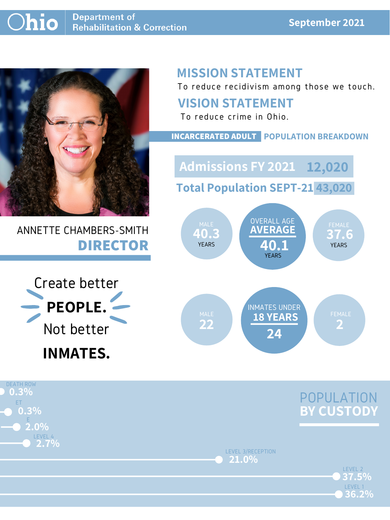#### **September 2021**



# ANNETTE CHAMBERS-SMITH **DIRECTOR**

# **MISSION STATEMENT**

To reduce recidivism among those we touch.



LEVEL 3/RECEPTION **21.0%**

> LEVEL 2 LEVEL 1 **36.2% 37.5%**



### **VISION STATEMENT**



To reduce crime in Ohio.



#### **INCARCERATED ADULT POPULATION BREAKDOWN**

**Total Population SEPT-21 43,020**

**Admissions FY 2021 12,020**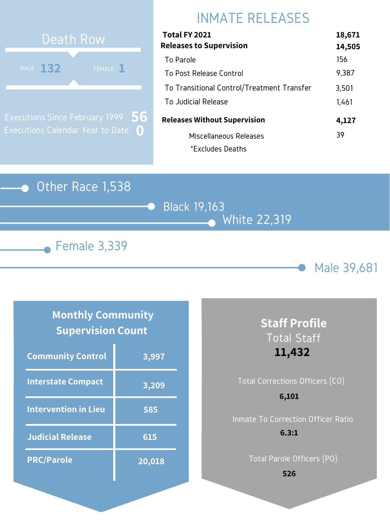#### Other Race 1,538







# INMATE RELEASES



Executions Since February 1999 Executions Calendar Year to Date **0 56**

### **Monthly Community Supervision Count**

| Total FY 2021                              | 18,671 |
|--------------------------------------------|--------|
| <b>Releases to Supervision</b>             | 14,505 |
| To Parole                                  | 156    |
| To Post Release Control                    | 9,387  |
| To Transitional Control/Treatment Transfer | 3,501  |
| To Judicial Release                        | 1,461  |
| <b>Releases Without Supervision</b>        | 4,127  |
| Miscellaneous Releases                     | 39     |
| *Excludes Deaths                           |        |

# Total Corrections Officers (CO)

| <b>Community Control</b>    | 3,997  |
|-----------------------------|--------|
| <b>Interstate Compact</b>   | 3,209  |
| <b>Intervention in Lieu</b> | 585    |
| <b>Judicial Release</b>     | 615    |
| <b>PRC/Parole</b>           | 20,018 |

## **Staff Profile** Total Staff **11,432**

Inmate To Correction Officer Ratio **6.3:1**

Total Parole Officers (PO)

#### **6,101**

**526**